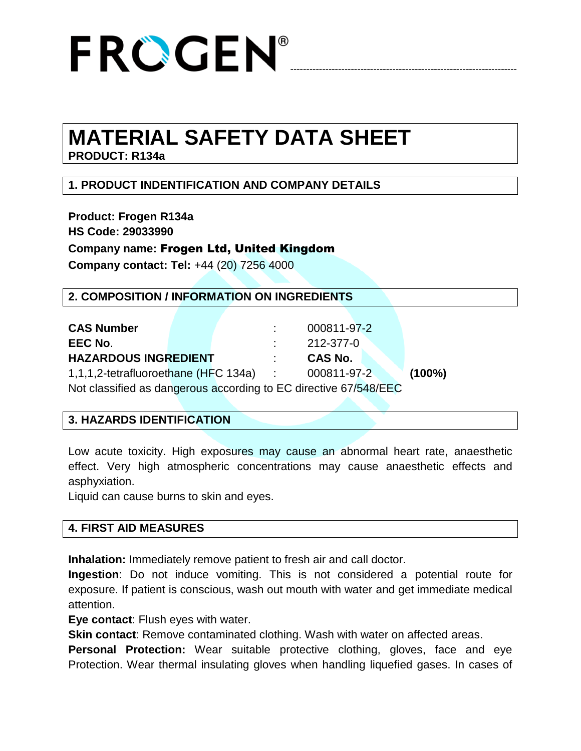

### **MATERIAL SAFETY DATA SHEET**

**PRODUCT: R134a**

### **1. PRODUCT INDENTIFICATION AND COMPANY DETAILS**

**Product: Frogen R134a HS Code: 29033990 Company name:** Frogen Ltd, United Kingdom **Company contact: Tel:** +44 (20) 7256 4000

| 2. COMPOSITION / INFORMATION ON INGREDIENTS                                                           |  |  |            |             |  |  |           |  |  |
|-------------------------------------------------------------------------------------------------------|--|--|------------|-------------|--|--|-----------|--|--|
|                                                                                                       |  |  |            |             |  |  |           |  |  |
| <b>CAS Number</b>                                                                                     |  |  |            | 000811-97-2 |  |  |           |  |  |
| EEC No.                                                                                               |  |  |            | 212-377-0   |  |  |           |  |  |
| <b>HAZARDOUS INGREDIENT</b>                                                                           |  |  |            | CAS No.     |  |  |           |  |  |
| 1,1,1,2-tetrafluoroethane (HFC 134a)                                                                  |  |  | $\sim 100$ | 000811-97-2 |  |  | $(100\%)$ |  |  |
| Not show the discrete second second set of $\Gamma$ also state $\Delta$ $\Gamma$ is $\Gamma$ $\Gamma$ |  |  |            |             |  |  |           |  |  |

Not classified as dangerous according to EC directive 67/548/EEC

#### **3. HAZARDS IDENTIFICATION**

Low acute toxicity. High exposures may cause an abnormal heart rate, anaesthetic effect. Very high atmospheric concentrations may cause anaesthetic effects and asphyxiation.

Liquid can cause burns to skin and eyes.

#### **4. FIRST AID MEASURES**

**Inhalation:** Immediately remove patient to fresh air and call doctor.

**Ingestion**: Do not induce vomiting. This is not considered a potential route for exposure. If patient is conscious, wash out mouth with water and get immediate medical attention.

**Eye contact**: Flush eyes with water.

**Skin contact**: Remove contaminated clothing. Wash with water on affected areas.

**Personal Protection:** Wear suitable protective clothing, gloves, face and eye Protection. Wear thermal insulating gloves when handling liquefied gases. In cases of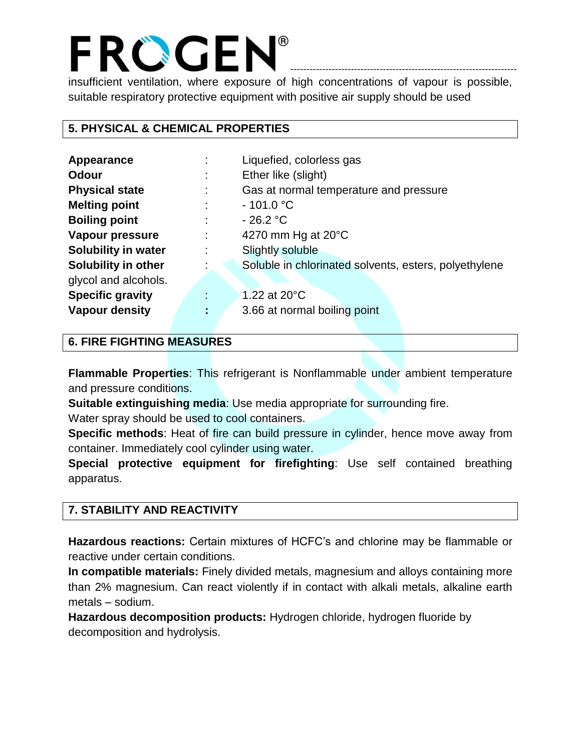### FROGEN®

insufficient ventilation, where exposure of high concentrations of vapour is possible, suitable respiratory protective equipment with positive air supply should be used

-----------------------------------------------------------------------

#### **5. PHYSICAL & CHEMICAL PROPERTIES**

| Appearance                 | Liquefied, colorless gas                              |  |  |  |  |
|----------------------------|-------------------------------------------------------|--|--|--|--|
| <b>Odour</b>               | Ether like (slight)                                   |  |  |  |  |
| <b>Physical state</b>      | Gas at normal temperature and pressure                |  |  |  |  |
| <b>Melting point</b>       | $-101.0 °C$                                           |  |  |  |  |
| <b>Boiling point</b>       | $-26.2 °C$                                            |  |  |  |  |
| Vapour pressure            | 4270 mm Hg at $20^{\circ}$ C                          |  |  |  |  |
| <b>Solubility in water</b> | <b>Slightly soluble</b>                               |  |  |  |  |
| <b>Solubility in other</b> | Soluble in chlorinated solvents, esters, polyethylene |  |  |  |  |
| glycol and alcohols.       |                                                       |  |  |  |  |
| <b>Specific gravity</b>    | 1.22 at $20^{\circ}$ C                                |  |  |  |  |
| <b>Vapour density</b>      | 3.66 at normal boiling point                          |  |  |  |  |

#### **6. FIRE FIGHTING MEASURES**

**Flammable Properties**: This refrigerant is Nonflammable under ambient temperature and pressure conditions.

**Suitable extinguishing media**: Use media appropriate for surrounding fire. Water spray should be used to cool containers.

**Specific methods**: Heat of fire can build pressure in cylinder, hence move away from container. Immediately cool cylinder using water.

**Special protective equipment for firefighting**: Use self contained breathing apparatus.

#### **7. STABILITY AND REACTIVITY**

**Hazardous reactions:** Certain mixtures of HCFC's and chlorine may be flammable or reactive under certain conditions.

**In compatible materials:** Finely divided metals, magnesium and alloys containing more than 2% magnesium. Can react violently if in contact with alkali metals, alkaline earth metals – sodium.

**Hazardous decomposition products:** Hydrogen chloride, hydrogen fluoride by decomposition and hydrolysis.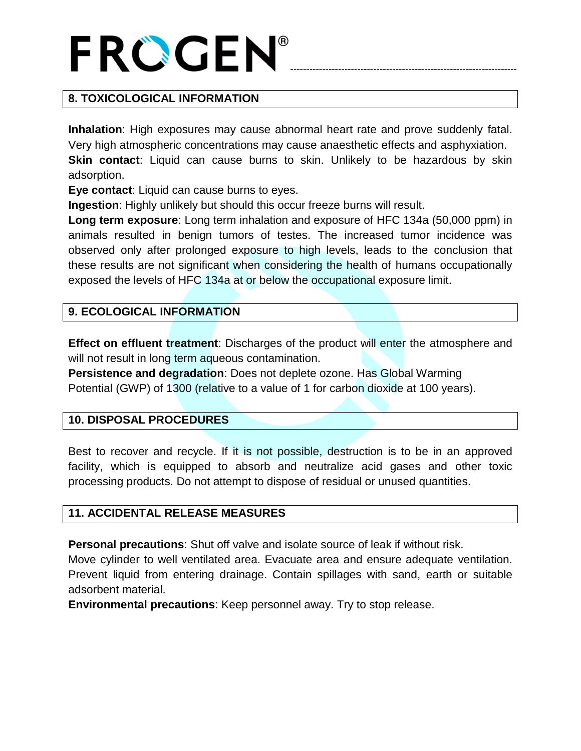# -----------------------------------------------------------------------

#### **8. TOXICOLOGICAL INFORMATION**

**Inhalation**: High exposures may cause abnormal heart rate and prove suddenly fatal. Very high atmospheric concentrations may cause anaesthetic effects and asphyxiation. **Skin contact**: Liquid can cause burns to skin. Unlikely to be hazardous by skin adsorption.

**Eye contact**: Liquid can cause burns to eyes.

**Ingestion**: Highly unlikely but should this occur freeze burns will result.

**Long term exposure**: Long term inhalation and exposure of HFC 134a (50,000 ppm) in animals resulted in benign tumors of testes. The increased tumor incidence was observed only after prolonged exposure to high levels, leads to the conclusion that these results are not significant when considering the health of humans occupationally exposed the levels of HFC 134a at or below the occupational exposure limit.

#### **9. ECOLOGICAL INFORMATION**

**Effect on effluent treatment**: Discharges of the product will enter the atmosphere and will not result in long term aqueous contamination.

**Persistence and degradation**: Does not deplete ozone. Has Global Warming Potential (GWP) of 1300 (relative to a value of 1 for carbon dioxide at 100 years).

#### **10. DISPOSAL PROCEDURES**

Best to recover and recycle. If it is not possible, destruction is to be in an approved facility, which is equipped to absorb and neutralize acid gases and other toxic processing products. Do not attempt to dispose of residual or unused quantities.

#### **11. ACCIDENTAL RELEASE MEASURES**

**Personal precautions**: Shut off valve and isolate source of leak if without risk.

Move cylinder to well ventilated area. Evacuate area and ensure adequate ventilation. Prevent liquid from entering drainage. Contain spillages with sand, earth or suitable adsorbent material.

**Environmental precautions**: Keep personnel away. Try to stop release.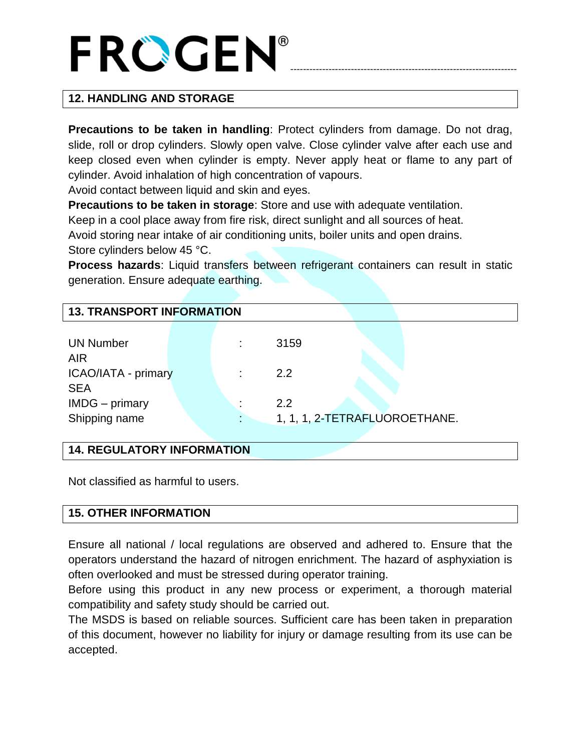# -----------------------------------------------------------------------

#### **12. HANDLING AND STORAGE**

**Precautions to be taken in handling**: Protect cylinders from damage. Do not drag, slide, roll or drop cylinders. Slowly open valve. Close cylinder valve after each use and keep closed even when cylinder is empty. Never apply heat or flame to any part of cylinder. Avoid inhalation of high concentration of vapours.

Avoid contact between liquid and skin and eyes.

**Precautions to be taken in storage**: Store and use with adequate ventilation.

Keep in a cool place away from fire risk, direct sunlight and all sources of heat. Avoid storing near intake of air conditioning units, boiler units and open drains. Store cylinders below 45 °C.

**Process hazards**: Liquid transfers between refrigerant containers can result in static generation. Ensure adequate earthing.

| <b>13. TRANSPORT INFORMATION</b> |  |    |      |                               |  |  |  |  |  |
|----------------------------------|--|----|------|-------------------------------|--|--|--|--|--|
|                                  |  |    |      |                               |  |  |  |  |  |
| <b>UN Number</b>                 |  | t. | 3159 |                               |  |  |  |  |  |
| <b>AIR</b>                       |  |    |      |                               |  |  |  |  |  |
| ICAO/IATA - primary              |  |    | 2.2  |                               |  |  |  |  |  |
| <b>SEA</b>                       |  |    |      |                               |  |  |  |  |  |
| IMDG - primary                   |  | ٠  | 2.2  |                               |  |  |  |  |  |
| Shipping name                    |  |    |      | 1, 1, 1, 2-TETRAFLUOROETHANE. |  |  |  |  |  |
|                                  |  |    |      |                               |  |  |  |  |  |

#### **14. REGULATORY INFORMATION**

Not classified as harmful to users.

#### **15. OTHER INFORMATION**

Ensure all national / local regulations are observed and adhered to. Ensure that the operators understand the hazard of nitrogen enrichment. The hazard of asphyxiation is often overlooked and must be stressed during operator training.

Before using this product in any new process or experiment, a thorough material compatibility and safety study should be carried out.

The MSDS is based on reliable sources. Sufficient care has been taken in preparation of this document, however no liability for injury or damage resulting from its use can be accepted.